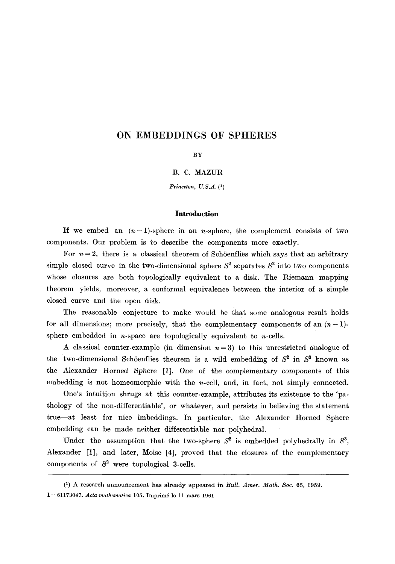# **ON EMBEDDINGS OF SPHERES**

## **BY**

B. C. MAZUR

*Princeton, U.S.A. (1)* 

### **Introduction**

If we embed an  $(n-1)$ -sphere in an n-sphere, the complement consists of two components. Our problem is to describe the components more exactly.

For  $n = 2$ , there is a classical theorem of Schöenflies which says that an arbitrary simple closed curve in the two-dimensional sphere  $S^2$  separates  $S^2$  into two components whose closures are both topologically equivalent to a disk. The Riemann mapping theorem yields, moreover, a conformal equivalence between the interior of a simple closed curve and the open disk.

The reasonable conjecture to make would be that some analogous result holds for all dimensions; more precisely, that the complementary components of an  $(n-1)$ sphere embedded in  $n$ -space are topologically equivalent to  $n$ -cells.

A classical counter-example (in dimension  $n = 3$ ) to this unrestricted analogue of the two-dimensional Schöenflies theorem is a wild embedding of  $S<sup>2</sup>$  in  $S<sup>3</sup>$  known as the Alexander Horned Sphere [1]. One of the complementary components of this embedding is not homeomorphic with the  $n$ -cell, and, in fact, not simply connected.

One's intuition shrugs at this counter-example, attributes its existence to the 'pathology of the non-differentiable', or whatever, and persists in believing the statement true--at least for nice imbeddings. In particular, the Alexander Horned Sphere embedding can be made neither differentiable nor polyhedral.

Under the assumption that the two-sphere  $S^2$  is embedded polyhedrally in  $S^3$ , Alexander [1], and later, Moise [4], proved that the closures of the complementary components of  $S^2$  were topological 3-cells.

<sup>(1)</sup> A research announcement has already appeared in *Bull. Amer. Math.* Soc. 65, 1959.

<sup>1- 61173047.</sup> *Acta mathematica* 105. Imprim6 le 11 mars 1961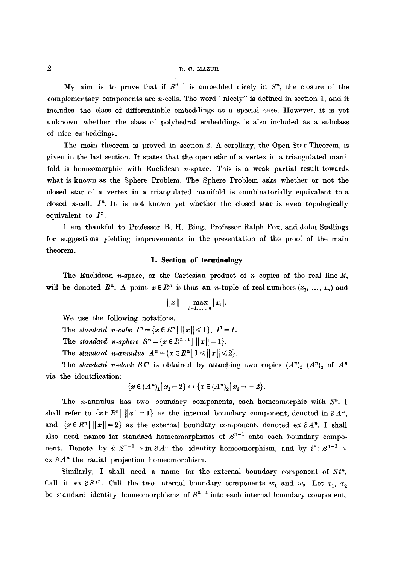My aim is to prove that if  $S^{n-1}$  is embedded nicely in  $S^n$ , the closure of the complementary components are n-cells. The word "nicely" is defined in section 1, and it includes the class of differentiable embeddings as a special case. However, it is yet unknown whether the class of polyhedral embeddings is also included as a subclass of nice embeddings.

The main theorem is proved in section 2. A corollary, the Open Star Theorem, is given in the last section. It states that the open star of a vertex in a triangulated manifold is homeomorphic with Euclidean  $n$ -space. This is a weak partial result towards what is known as the Sphere Problem. The Sphere Problem asks whether or not the closed star of a vertex in a triangulated manifold is combinatorially equivalent to a closed n-cell,  $I<sup>n</sup>$ . It is not known yet whether the closed star is even topologically equivalent to  $I^n$ .

I am thankful to Professor R. H. Bing, Professor Ralph Fox, and John Stallings for suggestions yielding improvements in the presentation of the proof of the main theorem.

## **1. Section of terminology**

The Euclidean n-space, or the Cartesian product of n copies of the real line  $R$ , will be denoted  $R^n$ . A point  $x \in R^n$  is thus an *n*-tuple of real numbers  $(x_1, ..., x_n)$  and

$$
||x||=\max_{i=1,\ldots,n}|x_i|.
$$

We use the following notations.

The *standard n*-cube  $I^n = \{x \in R^n \mid ||x|| \le 1\}, I^1 = I$ .

The *standard n*-*sphere*  $S^n = \{x \in \mathbb{R}^{n+1} | ||x|| = 1\}.$ 

The *standard n*-annulus  $A^n = \{x \in R^n \mid 1 \leq \|x\| \leq 2\}.$ 

The *standard n-stock*  $St^n$  is obtained by attaching two copies  $(A^n)_1$   $(A^n)_2$  of  $A^n$ via the identification:

$$
\{x \in (A^n)_1 | x_1 = 2\} \leftrightarrow \{x \in (A^n)_2 | x_1 = -2\}.
$$

The *n*-annulus has two boundary components, each homeomorphic with  $S<sup>n</sup>$ . I shall refer to  $\{x \in \mathbb{R}^n \mid ||x|| = 1\}$  as the internal boundary component, denoted in  $\partial A^n$ , and  $\{x \in \mathbb{R}^n \mid ||x|| = 2\}$  as the external boundary component, denoted ex  $\partial A^n$ . I shall also need names for standard homeomorphisms of  $S^{n-1}$  onto each boundary component. Denote by *i*:  $S^{n-1} \rightarrow$  in  $\partial A^n$  the identity homeomorphism, and by  $i^*$ :  $S^{n-1} \rightarrow$ ex  $\partial A^n$  the radial projection homeomorphism.

Similarly, I shall need a name for the external boundary component of  $St^n$ . Call it ex  $\partial St^n$ . Call the two internal boundary components  $w_1$  and  $w_2$ . Let  $\tau_1$ ,  $\tau_2$ be standard identity homeomorphisms of  $S^{n-1}$  into each internal boundary component.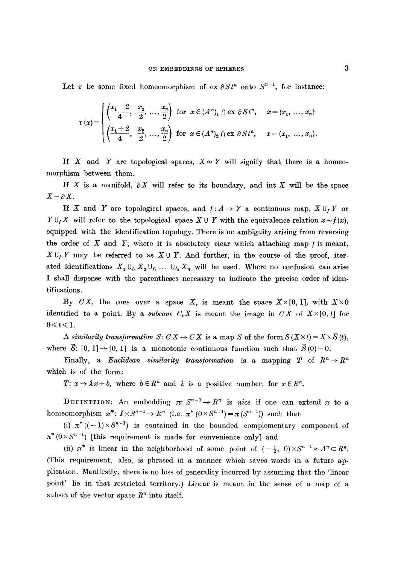Let  $\tau$  be some fixed homeomorphism of ex  $\partial S t^n$  onto  $S^{n-1}$ , for instance:

$$
\tau(x) = \begin{cases} \left(\frac{x_1 - 2}{4}, \frac{x_2}{2}, \dots, \frac{x_n}{2}\right) & \text{for } x \in (A^n)_1 \cap \text{ex } \partial S t^n, \quad x = (x_1, \dots, x_n) \\ \left(\frac{x_1 + 2}{4}, \frac{x_2}{2}, \dots, \frac{x_n}{2}\right) & \text{for } x \in (A^n)_2 \cap \text{ex } \partial S t^n, \quad x = (x_1, \dots, x_n). \end{cases}
$$

If X and Y are topological spaces,  $X \approx Y$  will signify that there is a homeomorphism between them.

If X is a manifold,  $\partial X$  will refer to its boundary, and int X will be the space  $X-\partial X$ .

If X and Y are topological spaces, and  $f: A \rightarrow Y$  a continuous map,  $X \cup_{f} Y$  or  $Y \cup_{f} X$  will refer to the topological space  $X \cup Y$  with the equivalence relation  $x \sim f(x)$ , equipped with the identification topology. There is no ambiguity arising from reversing the order of  $X$  and  $Y$ ; where it is absolutely clear which attaching map  $f$  is meant,  $X \cup_f Y$  may be referred to as  $X \cup Y$ . And further, in the course of the proof, iterated identifications  $X_1 \cup_{f_1} X_2 \cup_{f_2} \ldots \cup_{f_n} X_n$  will be used. Where no confusion can arise I shall dispense with the parentheses necessary to indicate the precise order of identifications.

By *CX*, the *cone* over a space X, is meant the space  $X\times [0, 1]$ , with  $X\times 0$ identified to a point. By a *subcone*  $C_t X$  is meant the image in  $CX$  of  $X \times [0, t]$  for  $0 \leq t \leq 1$ .

*A similarity transformation S:*  $CX \rightarrow CX$  is a map S of the form  $S(X \times t) = X \times \overline{S}(t)$ , where  $\overline{S}$ :  $[0, 1] \rightarrow [0, 1]$  is a monotonic continuous function such that  $\overline{S}(0)=0$ .

Finally, a *Euclidean similarity transformation* is a mapping T of  $R^n \to R^n$ which is of the form:

*T:*  $x \rightarrow \lambda x+b$ , where  $b \in \mathbb{R}^n$  and  $\lambda$  is a positive number, for  $x \in \mathbb{R}^n$ .

**DEFINITION:** An embedding  $\pi: S^{n-1} \to R^n$  is *nice* if one can extend  $\pi$  to a homeomorphism  $\pi^*: I \times S^{n-1} \to R^n$  (i.e.  $\pi^*(0 \times S^{n-1}) = \pi(S^{n-1})$ ) such that

(i)  $\pi^*((-1)\times S^{n-1})$  is contained in the bounded complementary component of  $\pi^*(0\times S^{n-1})$  [this requirement is made for convenience only] and

(ii)  $\pi^*$  is linear in the neighborhood of some point of  $(-\frac{1}{2}, 0) \times S^{n-1} \approx A^n \subset R^n$ . (This requirement, also, is phrased in a manner which saves words in a future application. Manifestly, there is no loss of generality incurred by assuming that the 'linear point' lie in that restricted territory.) Linear is meant in the sense of a map of a subset of the vector space  $R^n$  into itself.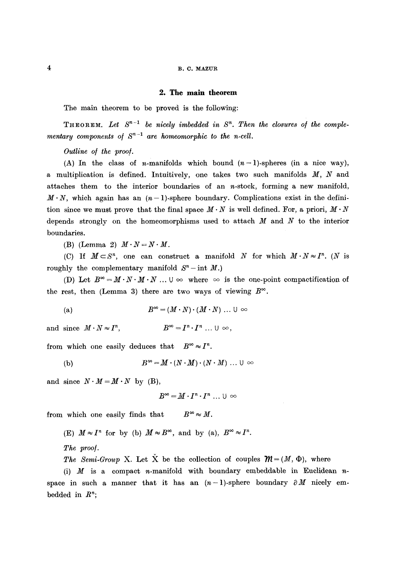## 4 B.C. MAZUR

#### **2. The main theorem**

The main theorem to be proved is the following:

**THEOREM.** Let  $S^{n-1}$  be nicely imbedded in  $S^n$ . Then the closures of the comple*mentary components of*  $S^{n-1}$  *are homeomorphic to the n-cell.* 

*Outline o/ the proo/.* 

(A) In the class of *n*-manifolds which bound  $(n-1)$ -spheres (in a nice way), a multiplication is defined. Intuitively, one takes two such manifolds  $M$ ,  $N$  and attaches them to the interior boundaries of an  $n$ -stock, forming a new manifold,  $M \cdot N$ , which again has an  $(n-1)$ -sphere boundary. Complications exist in the definition since we must prove that the final space  $M \cdot N$  is well defined. For, a priori,  $M \cdot N$ depends strongly on the homeomorphisms used to attach  $M$  and  $N$  to the interior boundaries.

(B) (Lemma 2)  $M \cdot N = N \cdot M$ .

(C) If  $M \subset S^n$ , one can construct a manifold N for which  $M \cdot N \approx I^n$ . (N is roughly the complementary manifold  $S<sup>n</sup>$ -int M.)

(D) Let  $B^{\infty} = M \cdot N \cdot M \cdot N$  ...  $\cup \infty$  where  $\infty$  is the one-point compactification of the rest, then (Lemma 3) there are two ways of viewing  $B^{\infty}$ .

(a)  $B^{\infty} = (M \cdot N) \cdot (M \cdot N) \dots \cup \infty$ 

and since  $M \cdot N \approx I^n$ ,  $B^{\infty} = I^n \cdot I^n$  ...  $\cup \infty$ ,

from which one easily deduces that  $B^{\infty} \approx I^{n}$ .

(b) 
$$
B^{\infty} = M \cdot (N \cdot M) \cdot (N \cdot M) \dots \cup \infty
$$

and since  $N \cdot M = M \cdot N$  by (B),

$$
B^{\infty}=M\cdot I^n\cdot I^n\, \dots\, \cup\, \infty
$$

from which one easily finds that  $B^{\infty} \approx M$ .

(E)  $M \approx I^n$  for by (b)  $M \approx B^{\infty}$ , and by (a),  $B^{\infty} \approx I^n$ .

*The proo].* 

*The Semi-Group* X. Let X be the collection of couples  $\mathcal{M} = (M, \Phi)$ , where

(i)  $M$  is a compact n-manifold with boundary embeddable in Euclidean nspace in such a manner that it has an  $(n-1)$ -sphere boundary  $\partial M$  nicely embedded in  $R^n$ ;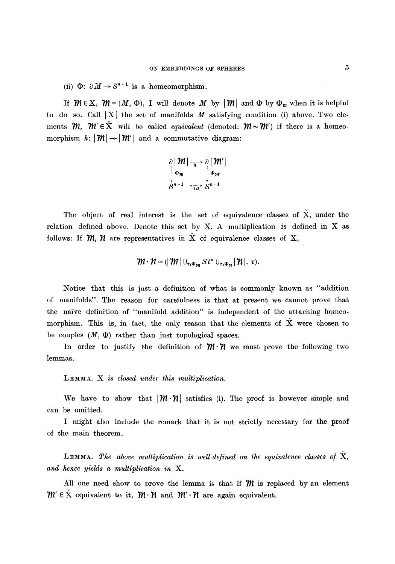(ii)  $\Phi: \partial M \to S^{n-1}$  is a homeomorphism.

If  $\mathcal{M} \in X$ ,  $\mathcal{M} = (M, \Phi)$ , I will denote M by  $|\mathcal{M}|$  and  $\Phi$  by  $\Phi_m$  when it is helpful to do so. Call  $|X|$  the set of manifolds M satisfying condition (i) above. Two elements  $m$ .  $m' \in X$  will be called *equivalent* (denoted:  $m \sim m'$ ) if there is a homeomorphism  $h: |\mathcal{W}| \rightarrow |\mathcal{W}'|$  and a commutative diagram:

$$
\frac{\partial |m|}{\partial m} \bigg| \frac{m'}{m} \bigg| \frac{m'}{\partial m'}
$$
\n
$$
\sum_{n=1}^{\infty} \frac{1}{\sigma_n} \frac{1}{n} \sum_{n=1}^{\infty} \frac{1}{n} \frac{1}{n} \frac{1}{n} \frac{1}{n}
$$

The object of real interest is the set of equivalence classes of  $\check{X}$ , under the relation defined above. Denote this set by  $X$ . A multiplication is defined in  $X$  as follows: If  $m, n$  are representatives in  $\check{X}$  of equivalence classes of X,

$$
\mathcal{W}\cdot \mathcal{H}=(|\mathcal{W}|\cup_{\tau_1\Phi_{\mathcal{W}}} S\,t^n\cup_{\tau_2\Phi_{\mathcal{W}}}|\mathcal{H}|,\;\tau).
$$

Notice that this is just a definition of what is commonly known as "addition of manifolds". The reason for carefulness is that at present we cannot prove that the naive definition of "manifold addition" is independent of the attaching homeomorphism. This is, in fact, the only reason that the elements of  $\check{X}$  were chosen to be couples  $(M, \Phi)$  rather than just topological spaces.

In order to justify the definition of  $\mathcal{W} \cdot \mathcal{U}$  we must prove the following two lemmas.

LEMMA. X is closed under this multiplication.

We have to show that  $|\mathcal{M} \cdot \mathcal{U}|$  satisfies (i). The proof is however simple and can be omitted.

I might also include the remark that it is not strictly necessary for the proof of the main theorem.

**LEMMA.** The above multiplication is well-defined on the equivalence classes of  $\check{X}$ , *and hence yields a multiplication in X.* 

All one need show to prove the lemma is that if  $\mathcal{W}$  is replaced by an element  $m' \in X$  equivalent to it,  $m \cdot \mathcal{N}$  and  $m' \cdot \mathcal{N}$  are again equivalent.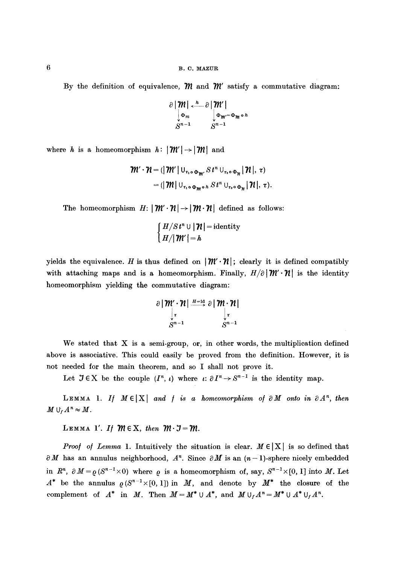By the definition of equivalence,  $\mathcal{M}$  and  $\mathcal{W}'$  satisfy a commutative diagram:

$$
\frac{\partial |\mathcal{M}|}{\partial m} \times \frac{h}{\partial m} \frac{\partial |\mathcal{M}'|}{\partial m} \frac{\partial m}{\partial m} \frac{\partial m}{\partial m} \frac{\partial m}{\partial m}
$$

where h is a homeomorphism  $h: |\mathcal{M}'| \rightarrow |\mathcal{M}|$  and

$$
\mathcal{W}' \cdot \mathcal{H} = (\mathcal{W}' \mid U_{\tau_1 \circ \Phi_{\mathcal{W}'}} S t^n \cup_{\tau_2 \circ \Phi_{\mathcal{H}}} |\mathcal{H}|, \tau)
$$
  
= (\mathcal{W} \mid U\_{\tau\_1 \circ \Phi\_{\mathcal{W}} \circ h} S t^n U\_{\tau\_2 \circ \Phi\_{\mathcal{H}}} |\mathcal{H}|, \tau).

The homeomorphism  $H: |\mathcal{M}' \cdot \mathcal{H}| \rightarrow |\mathcal{M} \cdot \mathcal{H}|$  defined as follows:

$$
\begin{cases} H/St^n \cup |\mathcal{H}| = \text{identity} \\ H/|\mathcal{H}'| = h \end{cases}
$$

yields the equivalence. H is thus defined on  $|\mathcal{W} \cdot \mathcal{H}|$ ; clearly it is defined compatibly with attaching maps and is a homeomorphism. Finally,  $H/\partial |W \cdot \mathcal{H}|$  is the identity homeomorphism yielding the commutative diagram:

$$
\frac{\partial |\mathcal{M}' \cdot \mathcal{H}|}{\int_{\pi}^{\pi} \mathcal{M}^{-1}} \frac{\partial |\mathcal{M} \cdot \mathcal{H}|}{\int_{\pi}^{\pi} \mathcal{M}^{-1}}
$$

We stated that  $X$  is a semi-group, or, in other words, the multiplication defined above is associative. This could easily be proved from the definition. However, it is not needed for the main theorem, and so I shall not prove it.

Let  $\mathcal{I} \in X$  be the couple  $(I^n, \iota)$  where  $\iota: \partial I^n \to S^{n-1}$  is the identity map.

LEMMA 1. If  $M \in |X|$  and f is a homeomorphism of  $\partial M$  onto in  $\partial A^n$ , then  $M \cup_{f} A^{n} \approx M$ .

LEMMA 1'. If  $m \in X$ , then  $m \cdot J = m$ .

*Proof of Lemma 1.* Intuitively the situation is clear.  $M \in |X|$  is so defined that  $\partial M$  has an annulus neighborhood,  $A^n$ . Since  $\partial M$  is an  $(n-1)$ -sphere nicely embedded in  $R^n$ ,  $\partial M = \rho(S^{n-1} \times 0)$  where  $\rho$  is a homeomorphism of, say,  $S^{n-1} \times [0, 1]$  into M. Let  $A^*$  be the annulus  $\rho(S^{n-1} \times [0, 1])$  in M, and denote by  $M^*$  the closure of the complement of  $A^*$  in M. Then  $M = M^* \cup A^*$ , and  $M \cup_f A^n = M^* \cup A^* \cup_f A^n$ .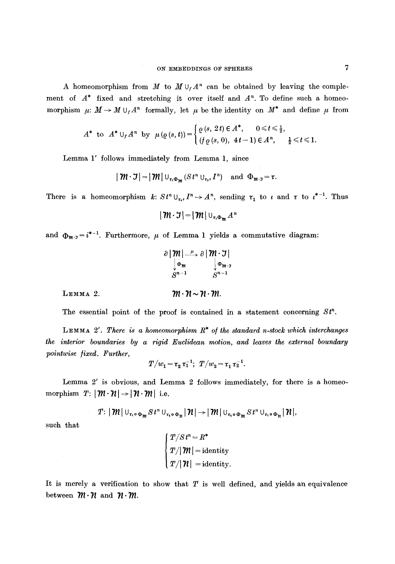A homeomorphism from  $M$  to  $M \cup_f A^n$  can be obtained by leaving the complement of  $A^*$  fixed and stretching it over itself and  $A^n$ . To define such a homeomorphism  $\mu: M \to M \cup_f A^n$  formally, let  $\mu$  be the identity on  $M^*$  and define  $\mu$  from

$$
A^* \text{ to } A^* \cup_f A^n \text{ by } \mu(\varrho(s,t)) = \begin{cases} \varrho(s, 2t) \in A^*, & 0 \leq t \leq \frac{1}{2}, \\ (f \varrho(s, 0), 4t - 1) \in A^n, & \frac{1}{2} \leq t \leq 1. \end{cases}
$$

Lemma 1' follows immediately from Lemma 1, since

$$
|\mathcal{M}\cdot \mathcal{I}|=|\mathcal{M}|\cup_{\tau_1\Phi_{\mathcal{M}}}(St^n\cup_{\tau_1\epsilon}I^n)\quad\text{and}\ \Phi_{\mathcal{M}\cdot \mathcal{I}}=\tau.
$$

There is a homeomorphism  $k: S t^n \cup_{\tau_{i} \in I} I^n \to A^n$ , sending  $\tau_1$  to  $\iota$  and  $\tau$  to  $\iota^{*-1}$ . Thus

$$
|\operatorname{\mathcal{M}}\cdot\operatorname{\mathcal{J}}|=|\operatorname{\mathcal{M}}|\cup_{\tau_1\Phi_{\operatorname{\mathcal{M}}}}A^n
$$

and  $\Phi_{m}$ .  $i^{*-1}$ . Furthermore,  $\mu$  of Lemma 1 yields a commutative diagram:

|          | $\Phi_m$                     | $\partial  m  \stackrel{\mu}{\longrightarrow} \partial  m \cdot \mathcal{I} $<br>$\begin{cases} \Phi_{m} \cdot \mathfrak{z} \\ S^{n-1} \end{cases}$ |  |
|----------|------------------------------|-----------------------------------------------------------------------------------------------------------------------------------------------------|--|
|          | $\sum_{n=1}^{\infty}$        |                                                                                                                                                     |  |
| LEMMA 2. | $m \cdot n \sim n \cdot m$ . |                                                                                                                                                     |  |

The essential point of the proof is contained in a statement concerning  $St<sup>n</sup>$ .

LEMMA 2'. There is a homeomorphism  $R^*$  of the standard n-stock which interchanges *the interior boundaries by a rigid Euclidean motion, and leaves the external boundary pointwise ]ixed. Further,* 

$$
T/w_1 = \tau_2 \tau_1^{-1}; \ T/w_2 = \tau_1 \tau_2^{-1}.
$$

Lemma 2' is obvious, and Lemma 2 follows immediately, for there is a homeomorphism  $T: |\mathcal{M}\cdot\mathcal{H}| \rightarrow |\mathcal{H}\cdot\mathcal{M}|$  i.e.

$$
T: |\mathcal{W}| \cup_{\tau_1 \circ \Phi_{\mathcal{W}}} S t^n \cup_{\tau_2 \circ \Phi_{\mathcal{H}}} |\mathcal{W}| \rightarrow |\mathcal{W}| \cup_{\tau_2 \circ \Phi_{\mathcal{W}}} S t^n \cup_{\tau_1 \circ \Phi_{\mathcal{H}}} |\mathcal{W}|,
$$

such that

$$
\begin{cases}\nT/St^n = R^* \\
T/\vert \mathcal{M} \vert = \text{identity} \\
T/\vert \mathcal{M} \vert = \text{identity}.\n\end{cases}
$$

It is merely a verification to show that  $T$  is well defined, and yields an equivalence between  $m \cdot n$  and  $n \cdot m$ .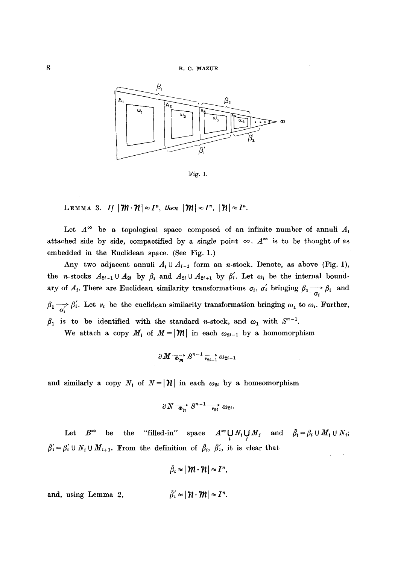

Fig. i.

**LEMMA 3.** If  $|\mathcal{W}\cdot\mathcal{W}| \approx I^n$ , then  $|\mathcal{W}|\approx I^n$ ,  $|\mathcal{W}| \approx I^n$ .

Let  $A^{\infty}$  be a topological space composed of an infinite number of annuli  $A_t$ attached side by side, compactified by a single point  $\infty$ .  $A^{\infty}$  is to be thought of as embedded in the Euclidean space. (See Fig. 1.)

Any two adjacent annuli  $A_i \cup A_{i+1}$  form an n-stock. Denote, as above (Fig. 1), the n-stocks  $A_{2i-1} \cup A_{2i}$  by  $\beta_i$  and  $A_{2i} \cup A_{2i+1}$  by  $\beta'_i$ . Let  $\omega_i$  be the internal boundary of  $A_i$ . There are Euclidean similarity transformations  $\sigma_i$ ,  $\sigma'_i$  bringing  $\beta_1 \rightarrow \beta_i$  and  $\beta_1 \rightarrow \beta'_i$ . Let  $\nu_i$  be the euclidean similarity transformation bringing  $\omega_1$  to  $\omega_i$ . Further,  $\beta_1$  is to be identified with the standard n-stock, and  $\omega_1$  with  $S^{n-1}$ .

We attach a copy  $M_i$  of  $M=|{\cal W}|$  in each  $\omega_{2i-1}$  by a homomorphism

$$
\partial M \xrightarrow[\Phi_m]{} S^{n-1} \xrightarrow[\nu_{2i-1}]{} \omega_{2i-1}
$$

and similarly a copy  $N_i$  of  $N = |\mathcal{H}|$  in each  $\omega_{2i}$  by a homeomorphism

$$
\partial N \xrightarrow{\overrightarrow{\Phi_{n}}} S^{n-1} \xrightarrow{\overrightarrow{v_{2i}}} \omega_{2i}.
$$

Let  $B^{\infty}$  be the "filled-in" space  $A^{\infty} \bigcup_i N_i \bigcup_j M_j$  and  $\tilde{\beta}'_i = \beta'_i \cup N_i \cup M_{i+1}$ . From the definition of  $\tilde{\beta}_i$ ,  $\tilde{\beta}'_i$ , it is clear that

 $\bar{\beta}_i \approx |\mathcal{W} \cdot \mathcal{H}| \approx I^n$ 

and, using Lemma 2,  $\tilde{\beta}'_i \approx |\mathcal{H} \cdot \mathcal{W}| \approx I^n$ .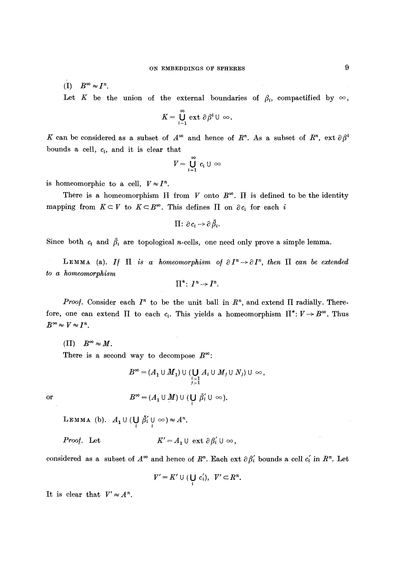$(I)$   $B^{\infty} \approx I^{n}$ .

Let K be the union of the external boundaries of  $\beta_i$ , compactified by  $\infty$ ,

$$
K=\bigcup_{i=1}^\infty\,\mathrm{ext}\,\,\partial\,\beta^i\,\cup\,\infty.
$$

K can be considered as a subset of  $A^{\infty}$  and hence of  $R^n$ . As a subset of  $R^n$ , ext  $\partial \beta^i$ bounds a cell,  $c_i$ , and it is clear that

$$
V=\bigcup_{i=1}^\infty c_i\cup\,\infty
$$

is homeomorphic to a cell,  $V \approx I^n$ .

There is a homeomorphism  $\Pi$  from  $V$  onto  $B^{\infty}$ .  $\Pi$  is defined to be the identity mapping from  $K \subset V$  to  $K \subset B^{\infty}$ . This defines  $\Pi$  on  $\partial c_i$  for each i

$$
\Pi\colon \partial\, c_i\,{\to}\, \partial\,\bar{\beta}_i.
$$

Since both  $c_i$  and  $\bar{\beta}_i$  are topological n-cells, one need only prove a simple lemma.

LEMMA (a). If  $\Pi$  is a homeomorphism of  $\partial I^n \to \partial I^n$ , then  $\Pi$  can be extended *to a homeomorphism* 

$$
\Pi^* \colon I^n \to I^n.
$$

*Proof.* Consider each  $I^n$  to be the unit ball in  $R^n$ , and extend  $\Pi$  radially. Therefore, one can extend  $\Pi$  to each  $c_i$ . This yields a homeomorphism  $\Pi^*: V \to B^\infty$ . Thus  $B^{\infty} \approx V \approx I^{n}$ .

(II)  $B^{\infty} \approx M$ . There is a second way to decompose  $B^{\infty}$ :

$$
B^{\infty} = (A_1 \cup M_1) \cup (\bigcup_{\substack{i \geq 1 \\ j \geq 1}} A_i \cup M_j \cup N_j) \cup \infty,
$$
  
or  

$$
B^{\infty} = (A_1 \cup M) \cup (\bigcup_{i} \bar{\beta}'_i \cup \infty).
$$

LEMMA (b).  $A_1 \cup (\bigcup_i \overline{\beta'_i} \cup \{\infty\}) \approx A^n$ .

*Proof.* Let  $K' = A_1 \cup \text{ext } \partial \beta'_i \cup \infty$ ,

considered as a subset of  $A^{\infty}$  and hence of  $R^n$ . Each ext  $\partial \beta'_i$  bounds a cell  $c'_i$  in  $R^n$ . Let

$$
V'=K'\cup(\bigcup_i c'_i),\ \ V'\subset R^n.
$$

It is clear that  $V' \approx A^n$ .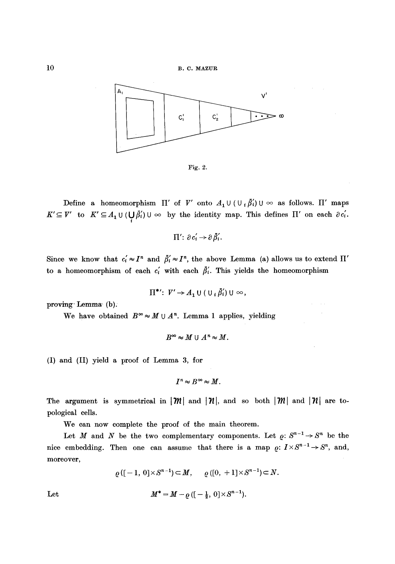

Fig. 2.

Define a homeomorphism  $\Pi'$  of V' onto  $A_1 \cup (\cup_i \tilde{\beta}_i) \cup \infty$  as follows.  $\Pi'$  maps  $K' \subseteq V'$  to  $K' \subseteq A_1 \cup (\bigcup_i \beta_i) \cup \infty$  by the identity map. This defines  $\Pi'$  on each  $\partial c_i$ .

$$
\Pi'\colon \partial c'_i\to \partial\bar{\beta}'_i.
$$

Since we know that  $c_i' \approx I^n$  and  $\bar{\beta}_i' \approx I^n$ , the above Lemma (a) allows us to extend  $\Pi'$ to a homeomorphism of each  $c_i'$  with each  $\bar{\beta}_i'$ . This yields the homeomorphism

$$
\Pi^*': V' \to A_1 \cup (\cup_i \overline{\beta'_i}) \cup \infty,
$$

proving- Lemma- (b).

We have obtained  $B^{\infty} \approx M \cup A^{n}$ . Lemma 1 applies, yielding

$$
B^{\infty} \approx M \cup A^{n} \approx M.
$$

(I) and (II) yield a proof of Lemma 3, for

$$
I^n \approx B^{\infty} \approx M.
$$

The argument is symmetrical in  $|\mathcal{M}|$  and  $|\mathcal{H}|$ , and so both  $|\mathcal{M}|$  and  $|\mathcal{H}|$  are topological cells.

We can now complete the proof of the main theorem.

Let M and N be the two complementary components. Let  $\varrho: S^{n-1}\to S^n$  be the nice embedding. Then one can assume that there is a map  $\rho: I\times S^{n-1}\to S^n$ , and, moreover,

$$
\rho([ -1, 0] \times S^{n-1}) \subset M, \qquad \rho([0, +1] \times S^{n-1}) \subset N.
$$

Let  $M^* = M - \rho \left( \left[ -\frac{1}{2}, 0 \right] \times S^{n-1} \right).$ 

$$
f_{\rm{max}}(x)=\frac{1}{2}x
$$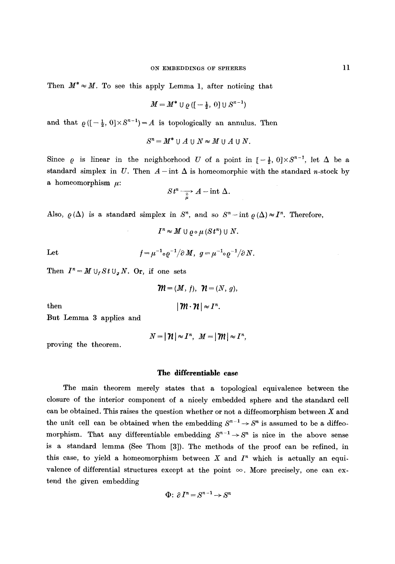Then  $M^* \approx M$ . To see this apply Lemma 1, after noticing that

$$
M = M^* \cup \varrho \left( \left[ -\frac{1}{2}, 0 \right] \cup S^{n-1} \right)
$$

and that  $\rho([-\frac{1}{2}, 0] \times S^{n-1}) = A$  is topologically an annulus. Then

$$
S^n = M^* \cup A \cup N \approx M \cup A \cup N.
$$

Since  $\rho$  is linear in the neighborhood U of a point in  $[-\frac{1}{2}, 0] \times S^{n-1}$ , let  $\Delta$  be a standard simplex in U. Then  $A$ -int  $\Delta$  is homeomorphic with the standard n-stock by a homeomorphism  $\mu$ :

$$
St^n \xrightarrow[\tilde{\mu}]{\pi} A - \text{int } \Delta.
$$

Also,  $\rho(\Delta)$  is a standard simplex in  $S^n$ , and so  $S^n$  - int  $\rho(\Delta) \approx I^n$ . Therefore,

$$
I^n \approx M \cup \varrho \circ \mu \left( S t^n \right) \cup N.
$$

Let 
$$
f = \mu^{-1} \circ \varrho^{-1} / \partial M, \ g = \mu^{-1} \circ \varrho^{-1} / \partial N.
$$

Then  $I^n = M \cup_f St \cup_g N$ . Or, if one sets

$$
\mathcal{W} = (M, f), \ \mathcal{W} = (N, g),
$$

$$
|\mathcal{W} \cdot \mathcal{W}| \approx I^{n}.
$$

But Lemma 3 applies and

then

$$
N=|\mathcal{H}|\approx I^n, \ \ M=|\mathcal{W}|\approx I^n,
$$

proving the theorem.

#### The differentiable case

The main theorem merely states that a topological equivalence between the closure of the interior component of a nicely embedded sphere and the standard cell can be obtained. This raises the question whether or not a diffeomorphism between  $X$  and the unit cell can be obtained when the embedding  $S^{n-1} \rightarrow S^n$  is assumed to be a diffeomorphism. That any differentiable embedding  $S^{n-1} \to S^n$  is nice in the above sense is a standard lemma (See Thom [3]). The methods of the proof can be refined, in this case, to yield a homeomorphism between X and  $I<sup>n</sup>$  which is actually an equivalence of differential structures except at the point  $\infty$ . More precisely, one can extend the given embedding

$$
\Phi\colon \partial I^n = S^{n-1} \to S^n
$$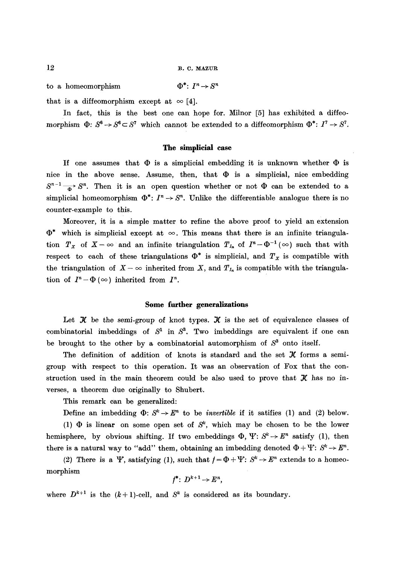to a homeomorphism  $\Phi^*: I^n \to S^n$ 

that is a diffeomorphism except at  $\infty$  [4].

In fact, this is the best one can hope for. Milnor [5] has exhibited a diffeomorphism  $\Phi: S^6 \to S^6 \subset S^7$  which cannot be extended to a diffeomorphism  $\Phi^*: I^7 \to S^7$ .

## **The simplicial case**

If one assumes that  $\Phi$  is a simplicial embedding it is unknown whether  $\Phi$  is nice in the above sense. Assume, then, that  $\Phi$  is a simplicial, nice embedding  $S^{n-1}$   $\longrightarrow$   $S^n$ . Then it is an open question whether or not  $\Phi$  can be extended to a simplicial homeomorphism  $\Phi^*: I^n \to S^n$ . Unlike the differentiable analogue there is no counter-example to this.

Moreover, it is a simple matter to refine the above proof to yield an extension  $\Phi^*$  which is simplicial except at  $\infty$ . This means that there is an infinite triangulation  $T_X$  of  $X-\infty$  and an infinite triangulation  $T_{I_n}$  of  $I^n-\Phi^{-1}(\infty)$  such that with respect to each of these triangulations  $\Phi^*$  is simplicial, and  $T_x$  is compatible with the triangulation of  $X-\infty$  inherited from X, and  $T_{I_n}$  is compatible with the triangulation of  $I^n - \Phi(\infty)$  inherited from  $I^n$ .

#### **Some further generalizations**

Let  $\mathcal X$  be the semi-group of knot types.  $\mathcal X$  is the set of equivalence classes of combinatorial imbeddings of  $S<sup>1</sup>$  in  $S<sup>3</sup>$ . Two imbeddings are equivalent if one can be brought to the other by a combinatorial automorphism of  $S<sup>3</sup>$  onto itself.

The definition of addition of knots is standard and the set  $\mathcal X$  forms a semigroup with respect to this operation. It was an observation of Fox that the construction used in the main theorem could be also used to prove that  $\mathcal K$  has no inverses, a theorem due originally to Shubert.

This remark can be generalized:

Define an imbedding  $\Phi: S^k \to E^n$  to be *invertible* if it satifies (1) and (2) below.

(1)  $\Phi$  is linear on some open set of  $S^k$ , which may be chosen to be the lower hemisphere, by obvious shifting. If two embeddings  $\Phi$ ,  $\Psi: S^k \to E^n$  satisfy (1), then there is a natural way to "add" them, obtaining an imbedding denoted  $\Phi + \Psi: S^k \to E^n$ .

(2) There is a Y, satisfying (1), such that  $f = \Phi + Y: S^k \to E^n$  extends to a homeomorphism

$$
f^*\colon D^{k+1}\to E^n,
$$

where  $D^{k+1}$  is the  $(k+1)$ -cell, and  $S^k$  is considered as its boundary.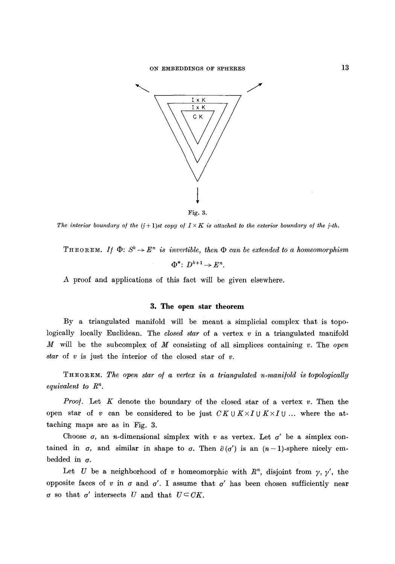

Fig. 3.

*The interior boundary of the*  $(i+1)$ *st copy of*  $I \times K$  *is attached to the exterior boundary of the j-th.* 

THEOREM. *If*  $\Phi: S^k \to E^n$  is invertible, then  $\Phi$  can be extended to a homeomorphism  $\Phi^* \colon D^{k+1} \to E^n$ .

A proof and applications of this fact will be given elsewhere.

#### **3. The open star theorem**

By a triangulated manifold will be meant a simplicial complex that is topologically locally Euclidean. The *closed star* of a vertex v in a triangulated manifold M will be the subeomplex of M consisting of all simplices containing v. The *open star* of  $v$  is just the interior of the closed star of  $v$ .

THEOREM. The open star of a vertex in a triangulated n-manifold is topologically *equivalent to*  $R^n$ .

*Proof.* Let  $K$  denote the boundary of the closed star of a vertex  $v$ . Then the open star of v can be considered to be just  $CKUK\times IUK\times IU$ ... where the attaching maps are as in Fig. 3.

Choose  $\sigma$ , an *n*-dimensional simplex with v as vertex. Let  $\sigma'$  be a simplex contained in  $\sigma$ , and similar in shape to  $\sigma$ . Then  $\partial(\sigma')$  is an  $(n-1)$ -sphere nicely embedded in  $\sigma$ .

Let U be a neighborhood of v homeomorphic with  $R<sup>n</sup>$ , disjoint from  $\gamma$ ,  $\gamma'$ , the opposite faces of v in  $\sigma$  and  $\sigma'$ . I assume that  $\sigma'$  has been chosen sufficiently near  $\sigma$  so that  $\sigma'$  intersects U and that  $U \subset CK$ .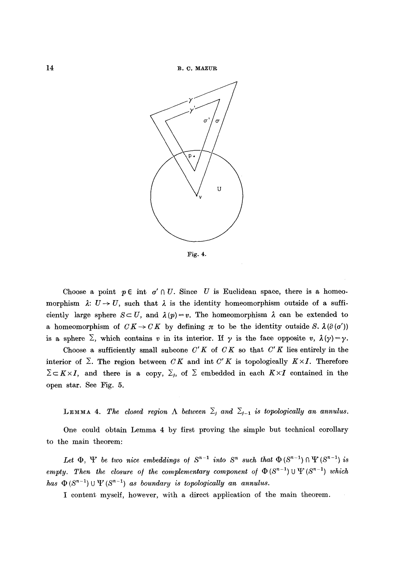

Fig. 4.

Choose a point  $p \in \text{int } \sigma' \cap U$ . Since U is Euclidean space, there is a homeomorphism  $\lambda: U \to U$ , such that  $\lambda$  is the identity homeomorphism outside of a sufficiently large sphere  $S \subset U$ , and  $\lambda(p) = v$ . The homeomorphism  $\lambda$  can be extended to a homeomorphism of  $CK \rightarrow CK$  by defining  $\pi$  to be the identity outside S.  $\lambda(\partial(\sigma'))$ is a sphere  $\Sigma$ , which contains v in its interior. If y is the face opposite v,  $\lambda(\gamma) = \gamma$ .

Choose a sufficiently small subcone  $C'K$  of  $CK$  so that  $C'K$  lies entirely in the interior of  $\Sigma$ . The region between *CK* and int *C'K* is topologically  $K \times I$ . Therefore  $\Sigma \subset K \times I$ , and there is a copy,  $\Sigma_i$ , of  $\Sigma$  embedded in each  $K \times I$  contained in the open star. See Fig. 5.

**LEMMA 4.** The closed region  $\Lambda$  between  $\Sigma_j$  and  $\Sigma_{j-1}$  is topologically an annulus.

One could obtain Lemma 4 by first proving the simple but technical corollary to the main theorem:

Let  $\Phi$ ,  $\Psi$  be two nice embeddings of  $S^{n-1}$  into  $S^n$  such that  $\Phi(S^{n-1}) \cap \Psi(S^{n-1})$  is *empty. Then the closure of the complementary component of*  $\Phi(S^{n-1}) \cup \Psi(S^{n-1})$  which *has*  $\Phi(S^{n-1}) \cup \Psi(S^{n-1})$  *as boundary is topologically an annulus.* 

I content myself, however, with a direct application of the main theorem.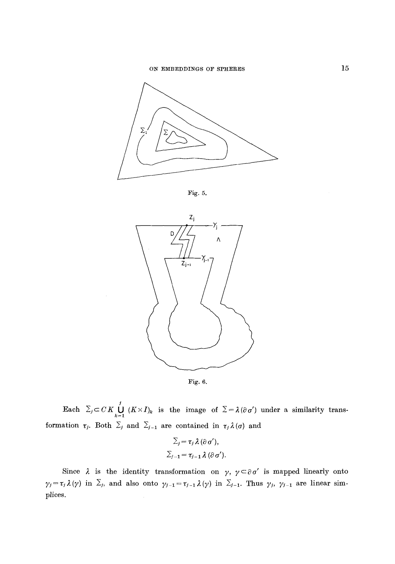

Fig. 5.





Each  $\sum_{j} C K \bigcup_{k=1}^{j} (K \times I)_k$  is the image of  $\Sigma = \lambda (\partial \sigma')$  under a similarity transformation  $\tau_j$ . Both  $\Sigma_j$  and  $\Sigma_{j-1}$  are contained in  $\tau_j \lambda(\sigma)$  and

$$
\Sigma_j = \tau_j \lambda (\partial \sigma'),
$$
  

$$
\Sigma_{j-1} = \tau_{j-1} \lambda (\partial \sigma').
$$

Since  $\lambda$  is the identity transformation on  $\gamma$ ,  $\gamma \subset \partial \sigma'$  is mapped linearly onto  $\gamma_j = \tau_j \lambda(\gamma)$  in  $\Sigma_j$ , and also onto  $\gamma_{j-1} = \tau_{j-1} \lambda(\gamma)$  in  $\Sigma_{j-1}$ . Thus  $\gamma_j$ ,  $\gamma_{j-1}$  are linear simplices.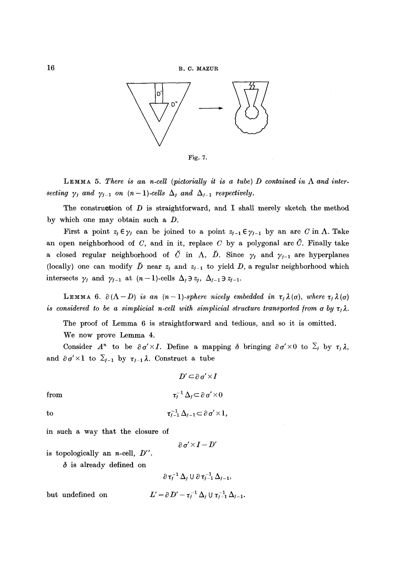

Fig. 7.

LEMMA 5. There is an *n*-cell (pictorially it is a tube) D contained in  $\Lambda$  and intersecting  $\gamma_j$  and  $\gamma_{j-1}$  on  $(n-1)$ -cells  $\Delta_j$  and  $\Delta_{j-1}$  respectively.

The construction of  $D$  is straightforward, and I shall merely sketch the method by which one may obtain such a D.

First a point  $z_j \in \gamma_j$  can be joined to a point  $z_{j-1} \in \gamma_{j-1}$  by an arc C in  $\Lambda$ . Take an open neighborhood of C, and in it, replace C by a polygonal arc  $\check{C}$ . Finally take a closed regular neighborhood of  $\check{C}$  in  $\Lambda$ ,  $\check{D}$ . Since  $\gamma_j$  and  $\gamma_{j-1}$  are hyperplanes (locally) one can modify  $\check{D}$  near  $z_j$  and  $z_{j-1}$  to yield D, a regular neighborhood which intersects  $\gamma_j$  and  $\gamma_{j-1}$  at  $(n-1)$ -cells  $\Delta_j \ni z_j$ ,  $\Delta_{j-1} \ni z_{j-1}$ .

LEMMA 6.  $\partial(\Lambda - D)$  *is an (n-1)-sphere nicely embedded in*  $\tau_j \lambda(\sigma)$ , *where*  $\tau_j \lambda(\sigma)$ *is considered to be a simplicial n-cell with simplicial structure transported from a by*  $\tau_i \lambda$ .

The proof of Lemma 6 is straightforward and tedious, and so it is omitted.

We now prove Lemma 4.

Consider  $A^n$  to be  $\partial \sigma' \times I$ . Define a mapping  $\partial \sigma'$  be  $\partial \sigma' \times \partial \sigma'$  to  $\Sigma_i$  by  $\tau_i \lambda$ , and  $\partial \sigma' \times 1$  to  $\Sigma_{j-1}$  by  $\tau_{j-1} \lambda$ . Construct a tube

$$
D' \subset \partial \sigma' \times I
$$

$$
\tau_i^{-1} \Delta_i \subset \partial \sigma' \times 0
$$

from

to

$$
\tau_{j-1}^{-1} \Delta_{j-1} \subset \partial \sigma' \times 1,
$$

in such a way that the closure of

$$
\partial \sigma' \!\times\! I\!-\!D'
$$

is topologically an n-cell, *D".* 

 $\delta$  is already defined on

$$
\partial\,\tau_j^{-1}\,\Delta_j\ \mathsf{U}\ \partial\,\tau_{j-1}^{-1}\,\Delta_{j-1},
$$

but undefined on

 $L' = \partial D' - \tau_i^{-1} \Delta_i \cup \tau_{i-1}^{-1} \Delta_{i-1}.$